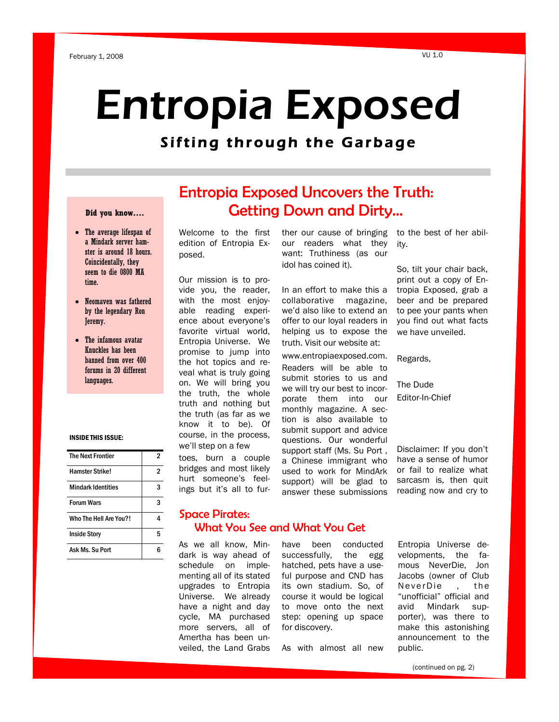# Entropia Exposed

# Sifting through the Garbage

#### **Did you know….**

- The average lifespan of a Mindark server hamster is around 18 hours. Coincidentally, they seem to die 0800 MA time.
- Neomaven was fathered by the legendary Ron Jeremy.
- The infamous avatar Knuckles has been banned from over 400 forums in 20 different languages.

#### INSIDE THIS ISSUE:

| <b>The Next Frontier</b>  |    |
|---------------------------|----|
| <b>Hamster Strike!</b>    | 2  |
| <b>Mindark Identities</b> |    |
| <b>Forum Wars</b>         | વ  |
| Who The Hell Are You?!    |    |
| <b>Inside Story</b>       | г, |
| Ask Ms. Su Port           |    |

# Entropia Exposed Uncovers the Truth: Getting Down and Dirty...

Welcome to the first edition of Entropia Exposed.

Our mission is to provide you, the reader, with the most enjoyable reading experience about everyone's favorite virtual world, Entropia Universe. We promise to jump into the hot topics and reveal what is truly going on. We will bring you the truth, the whole truth and nothing but the truth (as far as we know it to be). Of course, in the process, we'll step on a few toes, burn a couple

bridges and most likely hurt someone's feelings but it's all to further our cause of bringing our readers what they want: Truthiness (as our idol has coined it).

In an effort to make this a collaborative magazine, we'd also like to extend an offer to our loyal readers in helping us to expose the truth. Visit our website at:

www.entropiaexposed.com. Readers will be able to submit stories to us and we will try our best to incorporate them into our monthly magazine. A section is also available to submit support and advice questions. Our wonderful support staff (Ms. Su Port , a Chinese immigrant who used to work for MindArk support) will be glad to answer these submissions

to the best of her ability.

So, tilt your chair back, print out a copy of Entropia Exposed, grab a beer and be prepared to pee your pants when you find out what facts we have unveiled.

Regards,

The Dude Editor-In-Chief

Disclaimer: If you don't have a sense of humor or fail to realize what sarcasm is, then quit reading now and cry to

### Space Pirates: What You See and What You Get

As we all know, Mindark is way ahead of schedule on implementing all of its stated upgrades to Entropia Universe. We already have a night and day cycle, MA purchased more servers, all of Amertha has been unveiled, the Land Grabs have been conducted successfully, the egg hatched, pets have a useful purpose and CND has its own stadium. So, of course it would be logical to move onto the next step: opening up space for discovery.

As with almost all new

Entropia Universe developments, the famous NeverDie, Jon Jacobs (owner of Club NeverDie , the "unofficial" official and avid Mindark supporter), was there to make this astonishing announcement to the public.

(continued on pg. 2)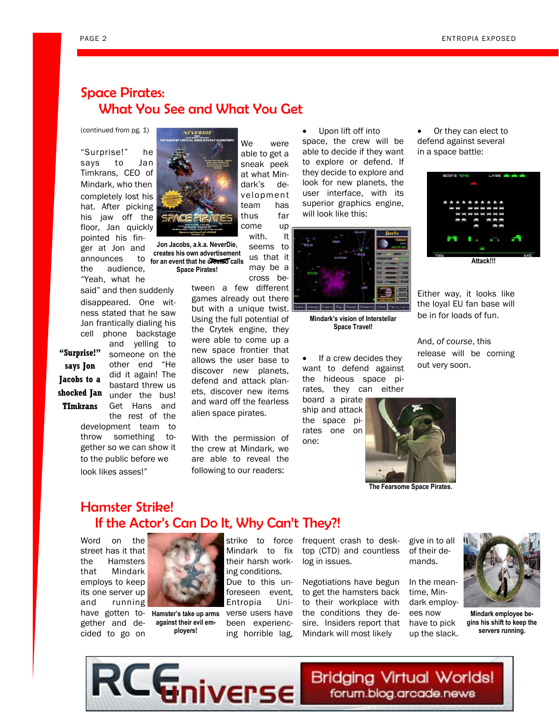# Space Pirates: What You See and What You Get

(continued from pg. 1)

"Surprise!" he says to Jan Timkrans, CEO of Mindark, who then completely lost his hat. After picking his jaw off the floor, Jan quickly pointed his fin-

ger at Jon and announces the audience, "Yeah, what he

said" and then suddenly disappeared. One witness stated that he saw Jan frantically dialing his cell phone backstage

> and yelling to someone on the other end "He did it again! The bastard threw us

> Get Hans and

shocked Jan <sub>under</sub> the bus! **"Surprise!" says Jon Jacobs to a TImkrans** 

> the rest of the development team to throw something together so we can show it to the public before we look likes asses!"



team has thus far come up with. It seems to us that it **Jon Jacobs, a.k.a. NeverDie,** 

**creates his own advertisement for an event that he created calls Space Pirates!**

> tween a few different games already out there but with a unique twist. Using the full potential of the Crytek engine, they were able to come up a new space frontier that allows the user base to discover new planets, defend and attack planets, discover new items and ward off the fearless alien space pirates.

We were able to get a sneak peek at what Mindark's development

cross be-

With the permission of the crew at Mindark, we are able to reveal the following to our readers:

 Upon lift off into space, the crew will be able to decide if they want to explore or defend. If they decide to explore and look for new planets, the user interface, with its superior graphics engine, will look like this:



**Mindark's vision of Interstellar Space Travel!**

 If a crew decides they want to defend against the hideous space pirates, they can either

board a pirate ship and attack the space pirates one on one:





Either way, it looks like the loyal EU fan base will be in for loads of fun.

And, *of course*, this release will be coming out very soon.



**The Fearsome Space Pirates.**

## Hamster Strike! If the Actor's Can Do It, Why Can't They?!

Word on the street has it that the Hamsters that Mindark employs to keep its one server up and running

gether and decided to go on



have gotten to-**Hamster's take up arms against their evil employers!**

Mindark to fix their harsh working conditions. Due to this unforeseen event, Entropia Universe users have been experiencing horrible lag,

strike to force frequent crash to desktop (CTD) and countless log in issues.

> Negotiations have begun to get the hamsters back to their workplace with the conditions they desire. Insiders report that Mindark will most likely

give in to all of their demands.

In the meantime, Mindark employees now have to pick up the slack.



**Mindark employee begins his shift to keep the servers running.**

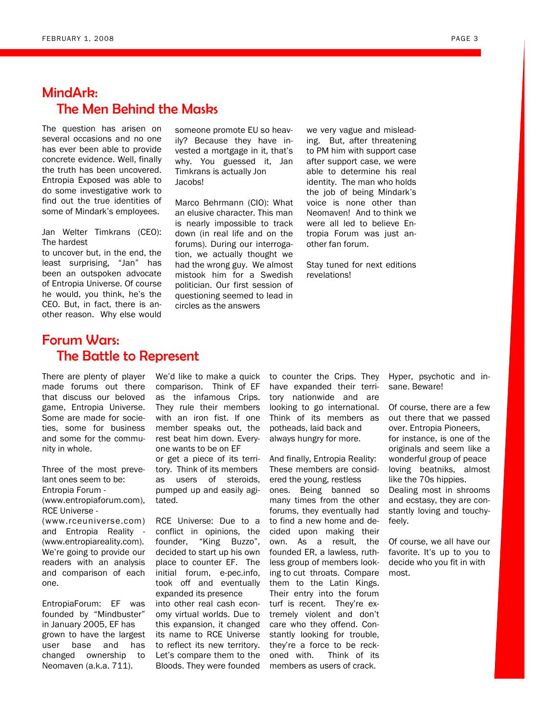# MindArk: The Men Behind the Masks

The question has arisen on several occasions and no one has ever been able to provide concrete evidence. Well, finally the truth has been uncovered. Entropia Exposed was able to do some investigative work to find out the true identities of some of Mindark's employees.

Jan Welter Timkrans (CEO): The hardest

to uncover but, in the end, the least surprising, "Jan" has been an outspoken advocate of Entropia Universe. Of course he would, you think, he's the CEO. But, in fact, there is another reason. Why else would

someone promote EU so heavily? Because they have invested a mortgage in it, that's why. You guessed it, Jan Timkrans is actually Jon Jacobs!

Marco Behrmann (CIO): What an elusive character. This man is nearly impossible to track down (in real life and on the forums). During our interrogation, we actually thought we had the wrong guy. We almost mistook him for a Swedish politician. Our first session of questioning seemed to lead in circles as the answers

we very vague and misleading. But, after threatening to PM him with support case after support case, we were able to determine his real identity. The man who holds the job of being Mindark's voice is none other than Neomaven! And to think we were all led to believe Entropia Forum was just another fan forum.

Stay tuned for next editions revelations!

## Forum Wars: The Battle to Represent

There are plenty of player made forums out there that discuss our beloved game, Entropia Universe. Some are made for societies, some for business and some for the community in whole.

Three of the most prevelant ones seem to be: Entropia Forum - (www.entropiaforum.com), RCE Universe - (www.rceuniverse.com) and Entropia Reality - (www.entropiareality.com). We're going to provide our readers with an analysis and comparison of each one.

EntropiaForum: EF was founded by "Mindbuster" in January 2005, EF has grown to have the largest user base and has changed ownership to Neomaven (a.k.a. 711).

We'd like to make a quick comparison. Think of EF as the infamous Crips. They rule their members with an iron fist. If one member speaks out, the rest beat him down. Everyone wants to be on EF or get a piece of its territory. Think of its members as users of steroids, pumped up and easily agi-

tated.

RCE Universe: Due to a conflict in opinions, the founder, "King Buzzo", decided to start up his own place to counter EF. The initial forum, e-pec.info, took off and eventually expanded its presence into other real cash economy virtual worlds. Due to this expansion, it changed its name to RCE Universe to reflect its new territory. Let's compare them to the Bloods. They were founded to counter the Crips. They have expanded their territory nationwide and are looking to go international. Think of its members as potheads, laid back and always hungry for more.

And finally, Entropia Reality: These members are considered the young, restless ones. Being banned so many times from the other forums, they eventually had to find a new home and decided upon making their own. As a result, the founded ER, a lawless, ruthless group of members looking to cut throats. Compare them to the Latin Kings. Their entry into the forum turf is recent. They're extremely violent and don't care who they offend. Constantly looking for trouble, they're a force to be reckoned with. Think of its members as users of crack.

Hyper, psychotic and insane. Beware!

Of course, there are a few out there that we passed over. Entropia Pioneers, for instance, is one of the originals and seem like a wonderful group of peace loving beatniks, almost like the 70s hippies. Dealing most in shrooms and ecstasy, they are constantly loving and touchyfeely.

Of course, we all have our favorite. It's up to you to decide who you fit in with most.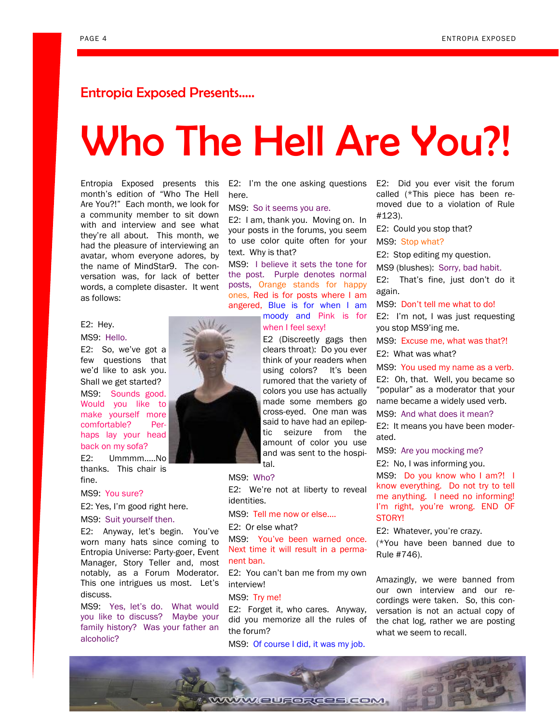## Entropia Exposed Presents…..

# Who The Hell Are You?!

Entropia Exposed presents this month's edition of "Who The Hell Are You?!" Each month, we look for a community member to sit down with and interview and see what they're all about. This month, we had the pleasure of interviewing an avatar, whom everyone adores, by the name of MindStar9. The conversation was, for lack of better words, a complete disaster. It went as follows:

#### E2: Hey.

#### MS9: Hello.

E2: So, we've got a few questions that we'd like to ask you. Shall we get started?

MS9: Sounds good. Would you like to make yourself more comfortable? Perhaps lay your head back on my sofa?

E2: Ummmm…..No thanks. This chair is fine.

#### MS9: You sure?

E2: Yes, I'm good right here.

#### MS9: Suit yourself then.

E2: Anyway, let's begin. You've worn many hats since coming to Entropia Universe: Party-goer, Event Manager, Story Teller and, most notably, as a Forum Moderator. This one intrigues us most. Let's discuss.

MS9: Yes, let's do. What would you like to discuss? Maybe your family history? Was your father an alcoholic?

E2: I'm the one asking questions here.

#### MS9: So it seems you are.

E2: I am, thank you. Moving on. In your posts in the forums, you seem to use color quite often for your text. Why is that?

MS9: I believe it sets the tone for the post. Purple denotes normal posts, Orange stands for happy ones, Red is for posts where I am angered, Blue is for when I am moody and Pink is for

when I feel sexy!

E2 (Discreetly gags then clears throat): Do you ever think of your readers when using colors? It's been rumored that the variety of colors you use has actually made some members go cross-eyed. One man was said to have had an epileptic seizure from the amount of color you use and was sent to the hospital.

#### MS9: Who?

E2: We're not at liberty to reveal identities.

MS9: Tell me now or else….

E2: Or else what?

MS9: You've been warned once. Next time it will result in a permanent ban.

E2: You can't ban me from my own interview!

#### MS9: Try me!

E2: Forget it, who cares. Anyway, did you memorize all the rules of the forum?

MS9: Of course I did, it was my job.

E2: Did you ever visit the forum called (\*This piece has been removed due to a violation of Rule #123).

E2: Could you stop that?

MS9: Stop what?

E2: Stop editing my question.

MS9 (blushes): Sorry, bad habit.

E2: That's fine, just don't do it again.

MS9: Don't tell me what to do!

E2: I'm not, I was just requesting you stop MS9'ing me.

MS9: Excuse me, what was that?!

E2: What was what?

MS9: You used my name as a verb.

E2: Oh, that. Well, you became so "popular" as a moderator that your name became a widely used verb.

MS9: And what does it mean?

E2: It means you have been moderated.

MS9: Are you mocking me?

E2: No, I was informing you.

MS9: Do you know who I am?! I know everything. Do not try to tell me anything. I need no informing! I'm right, you're wrong. END OF STORY!

E2: Whatever, you're crazy.

(\*You have been banned due to Rule #746).

Amazingly, we were banned from our own interview and our recordings were taken. So, this conversation is not an actual copy of the chat log, rather we are posting what we seem to recall.



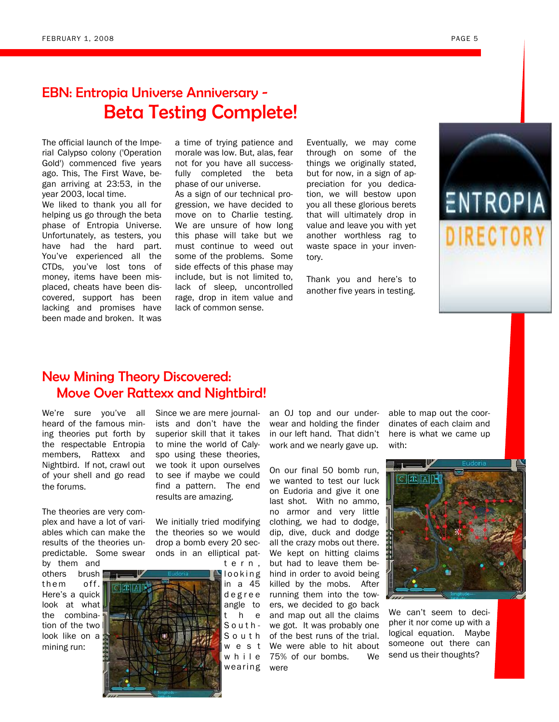# EBN: Entropia Universe Anniversary - Beta Testing Complete!

The official launch of the Imperial Calypso colony ('Operation Gold') commenced five years ago. This, The First Wave, began arriving at 23:53, in the year 2003, local time.

We liked to thank you all for helping us go through the beta phase of Entropia Universe. Unfortunately, as testers, you have had the hard part. You've experienced all the CTDs, you've lost tons of money, items have been misplaced, cheats have been discovered, support has been lacking and promises have been made and broken. It was

a time of trying patience and morale was low. But, alas, fear not for you have all successfully completed the beta phase of our universe.

As a sign of our technical progression, we have decided to move on to Charlie testing. We are unsure of how long this phase will take but we must continue to weed out some of the problems. Some side effects of this phase may include, but is not limited to, lack of sleep, uncontrolled rage, drop in item value and lack of common sense.

Eventually, we may come through on some of the things we originally stated, but for now, in a sign of appreciation for you dedication, we will bestow upon you all these glorious berets that will ultimately drop in value and leave you with yet another worthless rag to waste space in your inventory.

Thank you and here's to another five years in testing.



## New Mining Theory Discovered: Move Over Rattexx and Nightbird!

We're sure you've all heard of the famous mining theories put forth by the respectable Entropia members, Rattexx and Nightbird. If not, crawl out of your shell and go read the forums.

The theories are very complex and have a lot of variables which can make the results of the theories unpredictable. Some swear

by them and others brush them off. Here's a quick look at what the combination of the two look like on a mining run:



We initially tried modifying the theories so we would drop a bomb every 20 seconds in an elliptical pat-

> l o o k i n g in a 45 d e g r e e angle to t h e S o u t h - S o u t h w e s t wearing were

t e r n ,

an OJ top and our underwear and holding the finder in our left hand. That didn't work and we nearly gave up.

w h i l e 75% of our bombs. We On our final 50 bomb run, we wanted to test our luck on Eudoria and give it one last shot. With no ammo, no armor and very little clothing, we had to dodge, dip, dive, duck and dodge all the crazy mobs out there. We kept on hitting claims but had to leave them behind in order to avoid being killed by the mobs. After running them into the towers, we decided to go back and map out all the claims we got. It was probably one of the best runs of the trial. We were able to hit about

able to map out the coordinates of each claim and here is what we came up with:



We can't seem to decipher it nor come up with a logical equation. Maybe someone out there can send us their thoughts?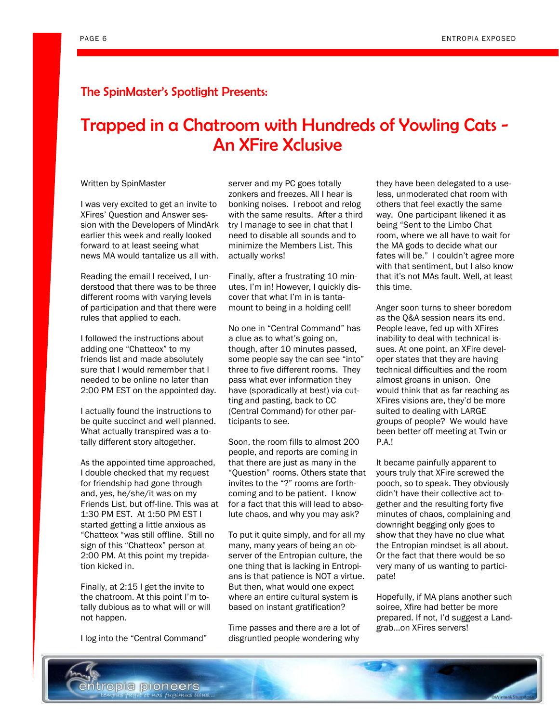### The SpinMaster's Spotlight Presents:

# Trapped in a Chatroom with Hundreds of Yowling Cats - An XFire Xclusive

#### Written by SpinMaster

I was very excited to get an invite to XFires' Question and Answer session with the Developers of MindArk earlier this week and really looked forward to at least seeing what news MA would tantalize us all with.

Reading the email I received, I understood that there was to be three different rooms with varying levels of participation and that there were rules that applied to each.

I followed the instructions about adding one "Chatteox" to my friends list and made absolutely sure that I would remember that I needed to be online no later than 2:00 PM EST on the appointed day.

I actually found the instructions to be quite succinct and well planned. What actually transpired was a totally different story altogether.

As the appointed time approached, I double checked that my request for friendship had gone through and, yes, he/she/it was on my Friends List, but off-line. This was at 1:30 PM EST. At 1:50 PM EST I started getting a little anxious as "Chatteox "was still offline. Still no sign of this "Chatteox" person at 2:00 PM. At this point my trepidation kicked in.

Finally, at 2:15 I get the invite to the chatroom. At this point I'm totally dubious as to what will or will not happen.

I log into the "Central Command"

server and my PC goes totally zonkers and freezes. All I hear is bonking noises. I reboot and relog with the same results. After a third try I manage to see in chat that I need to disable all sounds and to minimize the Members List. This actually works!

Finally, after a frustrating 10 minutes, I'm in! However, I quickly discover that what I'm in is tantamount to being in a holding cell!

No one in "Central Command" has a clue as to what's going on, though, after 10 minutes passed, some people say the can see "into" three to five different rooms. They pass what ever information they have (sporadically at best) via cutting and pasting, back to CC (Central Command) for other participants to see.

Soon, the room fills to almost 200 people, and reports are coming in that there are just as many in the "Question" rooms. Others state that invites to the "?" rooms are forthcoming and to be patient. I know for a fact that this will lead to absolute chaos, and why you may ask?

To put it quite simply, and for all my many, many years of being an observer of the Entropian culture, the one thing that is lacking in Entropians is that patience is NOT a virtue. But then, what would one expect where an entire cultural system is based on instant gratification?

Time passes and there are a lot of disgruntled people wondering why

they have been delegated to a useless, unmoderated chat room with others that feel exactly the same way. One participant likened it as being "Sent to the Limbo Chat room, where we all have to wait for the MA gods to decide what our fates will be." I couldn't agree more with that sentiment, but I also know that it's not MAs fault. Well, at least this time.

Anger soon turns to sheer boredom as the Q&A session nears its end. People leave, fed up with XFires inability to deal with technical issues. At one point, an XFire developer states that they are having technical difficulties and the room almost groans in unison. One would think that as far reaching as XFires visions are, they'd be more suited to dealing with LARGE groups of people? We would have been better off meeting at Twin or P.A.!

It became painfully apparent to yours truly that XFire screwed the pooch, so to speak. They obviously didn't have their collective act together and the resulting forty five minutes of chaos, complaining and downright begging only goes to show that they have no clue what the Entropian mindset is all about. Or the fact that there would be so very many of us wanting to participate!

Hopefully, if MA plans another such soiree, Xfire had better be more prepared. If not, I'd suggest a Landgrab…on XFires servers!

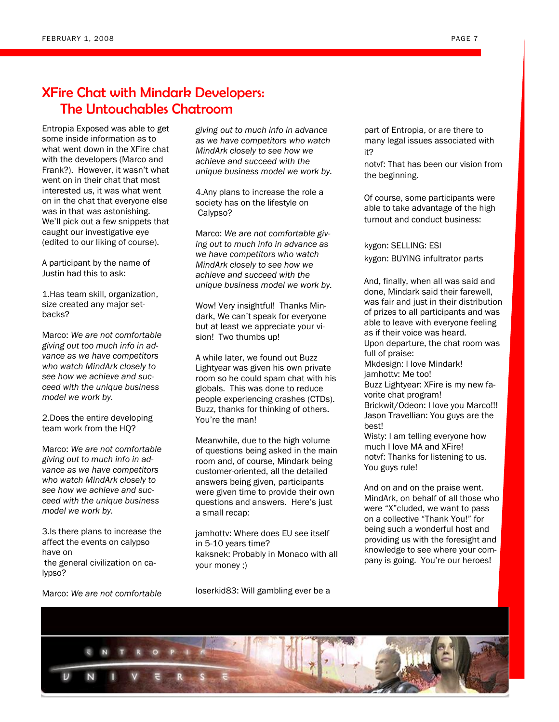## XFire Chat with Mindark Developers: The Untouchables Chatroom

Entropia Exposed was able to get some inside information as to what went down in the XFire chat with the developers (Marco and Frank?). However, it wasn't what went on in their chat that most interested us, it was what went on in the chat that everyone else was in that was astonishing. We'll pick out a few snippets that caught our investigative eye (edited to our liking of course).

A participant by the name of Justin had this to ask:

1.Has team skill, organization, size created any major setbacks?

Marco: *We are not comfortable giving out too much info in advance as we have competitors who watch MindArk closely to see how we achieve and succeed with the unique business model we work by.*

2.Does the entire developing team work from the HQ?

Marco: *We are not comfortable giving out to much info in advance as we have competitors who watch MindArk closely to see how we achieve and succeed with the unique business model we work by.*

3.Is there plans to increase the affect the events on calypso have on the general civilization on calypso?

Marco: *We are not comfortable* 

*giving out to much info in advance as we have competitors who watch MindArk closely to see how we achieve and succeed with the unique business model we work by.*

4.Any plans to increase the role a society has on the lifestyle on Calypso?

Marco: *We are not comfortable giving out to much info in advance as we have competitors who watch MindArk closely to see how we achieve and succeed with the unique business model we work by.*

Wow! Very insightful! Thanks Mindark, We can't speak for everyone but at least we appreciate your vision! Two thumbs up!

A while later, we found out Buzz Lightyear was given his own private room so he could spam chat with his globals. This was done to reduce people experiencing crashes (CTDs). Buzz, thanks for thinking of others. You're the man!

Meanwhile, due to the high volume of questions being asked in the main room and, of course, Mindark being customer-oriented, all the detailed answers being given, participants were given time to provide their own questions and answers. Here's just a small recap:

jamhottv: Where does EU see itself in 5-10 years time? kaksnek: Probably in Monaco with all your money ;)

loserkid83: Will gambling ever be a

part of Entropia, or are there to many legal issues associated with it?

notvf: That has been our vision from the beginning.

Of course, some participants were able to take advantage of the high turnout and conduct business:

kygon: SELLING: ESI kygon: BUYING infultrator parts

And, finally, when all was said and done, Mindark said their farewell, was fair and just in their distribution of prizes to all participants and was able to leave with everyone feeling as if their voice was heard. Upon departure, the chat room was full of praise: Mkdesign: I love Mindark! jamhottv: Me too! Buzz Lightyear: XFire is my new favorite chat program! Brickwit/Odeon: I love you Marco!!! Jason Travellian: You guys are the best! Wisty: I am telling everyone how much I love MA and XFire! notvf: Thanks for listening to us. You guys rule!

And on and on the praise went. MindArk, on behalf of all those who were "X"cluded, we want to pass on a collective "Thank You!" for being such a wonderful host and providing us with the foresight and knowledge to see where your company is going. You're our heroes!

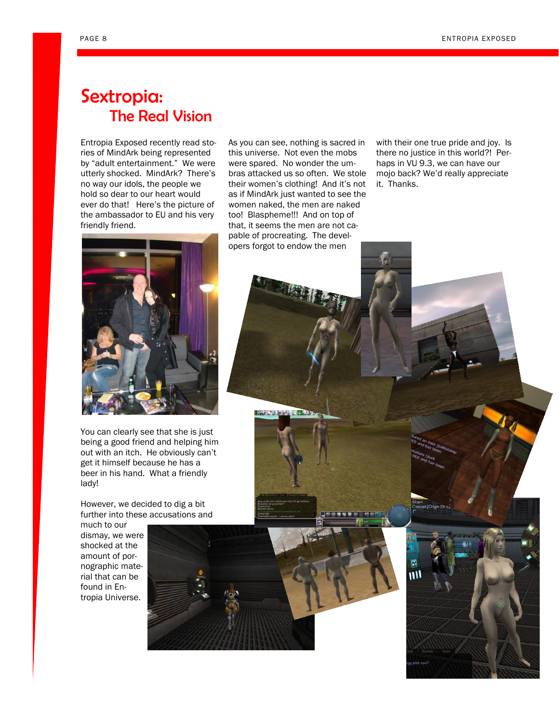# Sextropia: The Real Vision

Entropia Exposed recently read stories of MindArk being represented by "adult entertainment." We were utterly shocked. MindArk? There's no way our idols, the people we hold so dear to our heart would ever do that! Here's the picture of the ambassador to EU and his very friendly friend.

As you can see, nothing is sacred in this universe. Not even the mobs were spared. No wonder the umbras attacked us so often. We stole their women's clothing! And it's not as if MindArk just wanted to see the women naked, the men are naked too! Blaspheme!!! And on top of that, it seems the men are not capable of procreating. The developers forgot to endow the men

with their one true pride and joy. Is there no justice in this world?! Perhaps in VU 9.3, we can have our mojo back? We'd really appreciate it. Thanks.



You can clearly see that she is just being a good friend and helping him out with an itch. He obviously can't get it himself because he has a beer in his hand. What a friendly lady!

However, we decided to dig a bit further into these accusations and

much to our dismay, we were shocked at the amount of pornographic material that can be found in Entropia Universe.



**LAND AND AND ADDRESS**